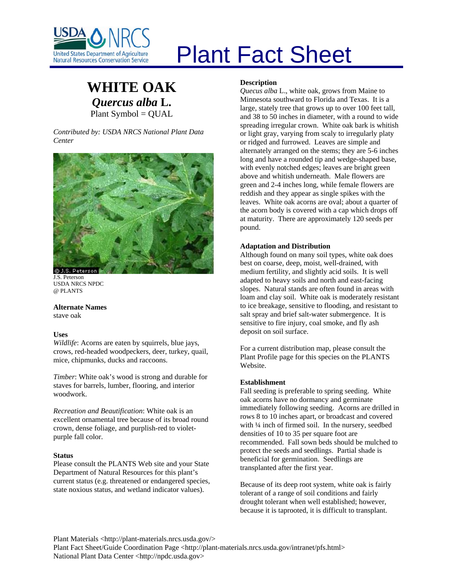

# Plant Fact Sheet

# **WHITE OAK** *Quercus alba* **L.** Plant Symbol = QUAL

*Contributed by: USDA NRCS National Plant Data Center* 



J.S. Peterson USDA NRCS NPDC @ PLANTS

# **Alternate Names**

stave oak

# **Uses**

*Wildlife*: Acorns are eaten by squirrels, blue jays, crows, red-headed woodpeckers, deer, turkey, quail, mice, chipmunks, ducks and raccoons.

*Timber*: White oak's wood is strong and durable for staves for barrels, lumber, flooring, and interior woodwork.

*Recreation and Beautification*: White oak is an excellent ornamental tree because of its broad round crown, dense foliage, and purplish-red to violetpurple fall color.

#### **Status**

Please consult the PLANTS Web site and your State Department of Natural Resources for this plant's current status (e.g. threatened or endangered species, state noxious status, and wetland indicator values).

### **Description**

*Quecus alba* L., white oak, grows from Maine to Minnesota southward to Florida and Texas. It is a large, stately tree that grows up to over 100 feet tall, and 38 to 50 inches in diameter, with a round to wide spreading irregular crown. White oak bark is whitish or light gray, varying from scaly to irregularly platy or ridged and furrowed. Leaves are simple and alternately arranged on the stems; they are 5-6 inches long and have a rounded tip and wedge-shaped base, with evenly notched edges; leaves are bright green above and whitish underneath. Male flowers are green and 2-4 inches long, while female flowers are reddish and they appear as single spikes with the leaves. White oak acorns are oval; about a quarter of the acorn body is covered with a cap which drops off at maturity. There are approximately 120 seeds per pound.

# **Adaptation and Distribution**

Although found on many soil types, white oak does best on coarse, deep, moist, well-drained, with medium fertility, and slightly acid soils. It is well adapted to heavy soils and north and east-facing slopes. Natural stands are often found in areas with loam and clay soil. White oak is moderately resistant to ice breakage, sensitive to flooding, and resistant to salt spray and brief salt-water submergence. It is sensitive to fire injury, coal smoke, and fly ash deposit on soil surface.

For a current distribution map, please consult the Plant Profile page for this species on the PLANTS Website.

#### **Establishment**

Fall seeding is preferable to spring seeding. White oak acorns have no dormancy and germinate immediately following seeding. Acorns are drilled in rows 8 to 10 inches apart, or broadcast and covered with ¼ inch of firmed soil. In the nursery, seedbed densities of 10 to 35 per square foot are recommended. Fall sown beds should be mulched to protect the seeds and seedlings. Partial shade is beneficial for germination. Seedlings are transplanted after the first year.

Because of its deep root system, white oak is fairly tolerant of a range of soil conditions and fairly drought tolerant when well established; however, because it is taprooted, it is difficult to transplant.

Plant Materials <http://plant-materials.nrcs.usda.gov/>

Plant Fact Sheet/Guide Coordination Page <http://plant-materials.nrcs.usda.gov/intranet/pfs.html> National Plant Data Center <http://npdc.usda.gov>